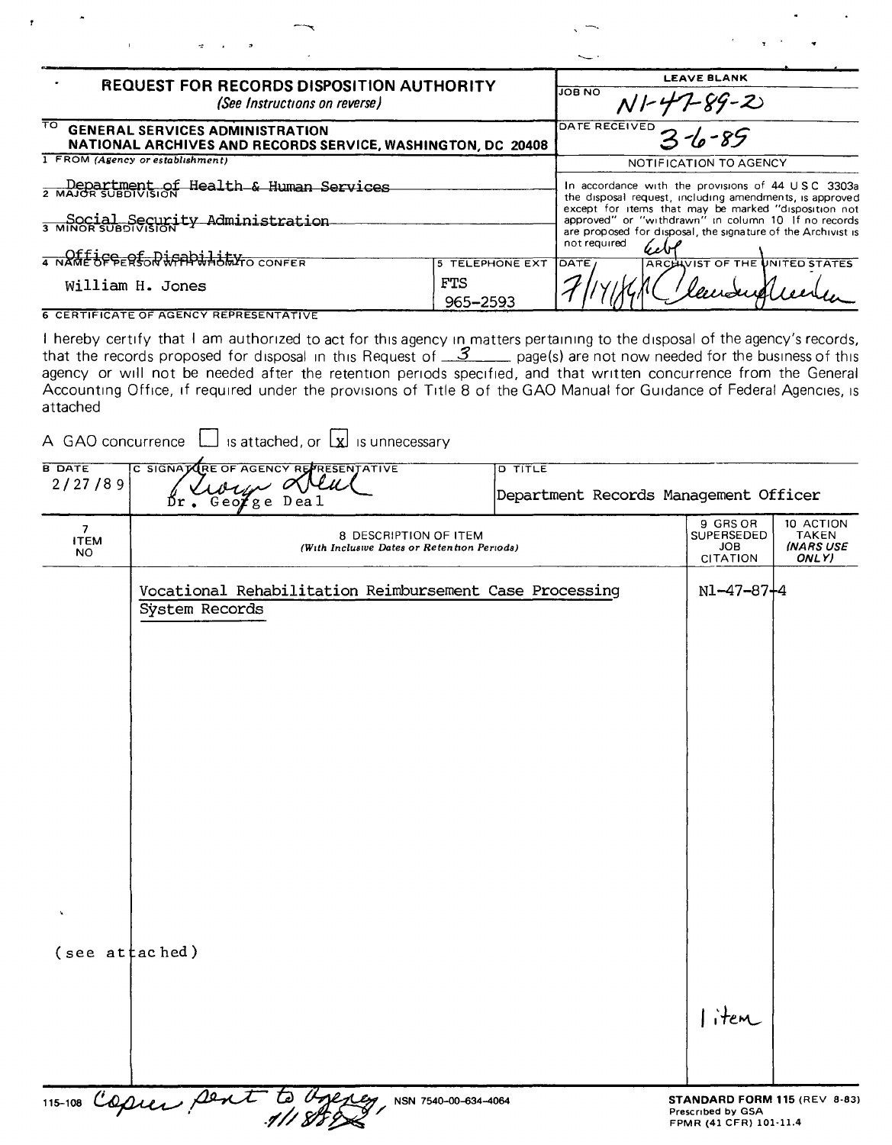|                                                                                                                                   |                        | ∼.                                                                                                                                                                                                                                                                                                                         |  |
|-----------------------------------------------------------------------------------------------------------------------------------|------------------------|----------------------------------------------------------------------------------------------------------------------------------------------------------------------------------------------------------------------------------------------------------------------------------------------------------------------------|--|
| <b>REQUEST FOR RECORDS DISPOSITION AUTHORITY</b><br>(See Instructions on reverse)                                                 |                        | <b>LEAVE BLANK</b><br><b>JOB NO</b><br>$N 1 - 47 - 89 - 20$                                                                                                                                                                                                                                                                |  |
| $\overline{\mathrm{TO}}$<br><b>GENERAL SERVICES ADMINISTRATION</b><br>NATIONAL ARCHIVES AND RECORDS SERVICE, WASHINGTON, DC 20408 |                        | $\sqrt{\frac{DATERECEIVED}{36}}$                                                                                                                                                                                                                                                                                           |  |
| 1 FROM (Agency or establishment)                                                                                                  |                        | NOTIFICATION TO AGENCY                                                                                                                                                                                                                                                                                                     |  |
| Department of Health & Human Services                                                                                             |                        | In accordance with the provisions of 44 USC 3303a<br>the disposal request, including amendments, is approved<br>except for items that may be marked "disposition not<br>approved" or "withdrawn" in column 10 If no records<br>are proposed for disposal, the signature of the Archivist is<br>not required<br><i>Uelt</i> |  |
| Social Security Administration                                                                                                    |                        |                                                                                                                                                                                                                                                                                                                            |  |
| 4 NAME OF PEREOR WARD HALLA CONFER                                                                                                | <b>5 TELEPHONE EXT</b> | ARCHIVIST OF THE UNITED STATES<br>DATE,                                                                                                                                                                                                                                                                                    |  |
| William H. Jones                                                                                                                  | FTS<br>965-2593        |                                                                                                                                                                                                                                                                                                                            |  |
| <b>6 CERTIFICATE OF AGENCY REPRESENTATIVE</b>                                                                                     |                        |                                                                                                                                                                                                                                                                                                                            |  |

I hereby certify that I am authorized to act for this agency in matters pertaining to the disposal of the agency's records<br>that the records proposed for disposal in this Request of <u>Samma</u> page(s) are not now needed for th agency or will not be needed after the retention periods specified, and that written concurrence from the General Accounting Office, if required under the provisions of Title 8 of the GAO Manual for Guidance of Federal Agencies, is attached

A GAO concurrence  $\Box$  is attached, or  $\Box$  is unnecessary

 $\mathbf{r}$ 

| <b>B DATE</b><br>2/27/89             | C SIGNAT RE OF AGENCY REFRESENTATIVE<br>when dren<br>Dr. Geofge Deal      | <b>D TITLE</b><br>Department Records Management Officer |                                                                                                                   |
|--------------------------------------|---------------------------------------------------------------------------|---------------------------------------------------------|-------------------------------------------------------------------------------------------------------------------|
| 7 <sup>7</sup><br><b>ITEM</b><br>NO. | 8 DESCRIPTION OF ITEM<br>(With Inclusive Dates or Retention Periods)      |                                                         | 9 GRS OR<br>10 ACTION<br>SUPERSEDED<br><b>TAKEN</b><br><b>INARS USE</b><br><b>JOB</b><br><b>CITATION</b><br>ONLY) |
|                                      | Vocational Rehabilitation Reimbursement Case Processing<br>System Records |                                                         | N1-47-87+4                                                                                                        |
|                                      |                                                                           |                                                         |                                                                                                                   |
|                                      |                                                                           |                                                         |                                                                                                                   |
|                                      |                                                                           |                                                         |                                                                                                                   |
|                                      |                                                                           |                                                         |                                                                                                                   |
|                                      |                                                                           |                                                         |                                                                                                                   |
| (see $\alpha$ tached)                |                                                                           |                                                         |                                                                                                                   |
|                                      |                                                                           |                                                         | litem                                                                                                             |
|                                      | 115-108 Copier Sent<br>NSN 7540-00-634-4064                               |                                                         | STANDARD FORM 115 (REV 8-83<br>Prescribed by GSA<br>FPMR (41 CFR) 101-11.4                                        |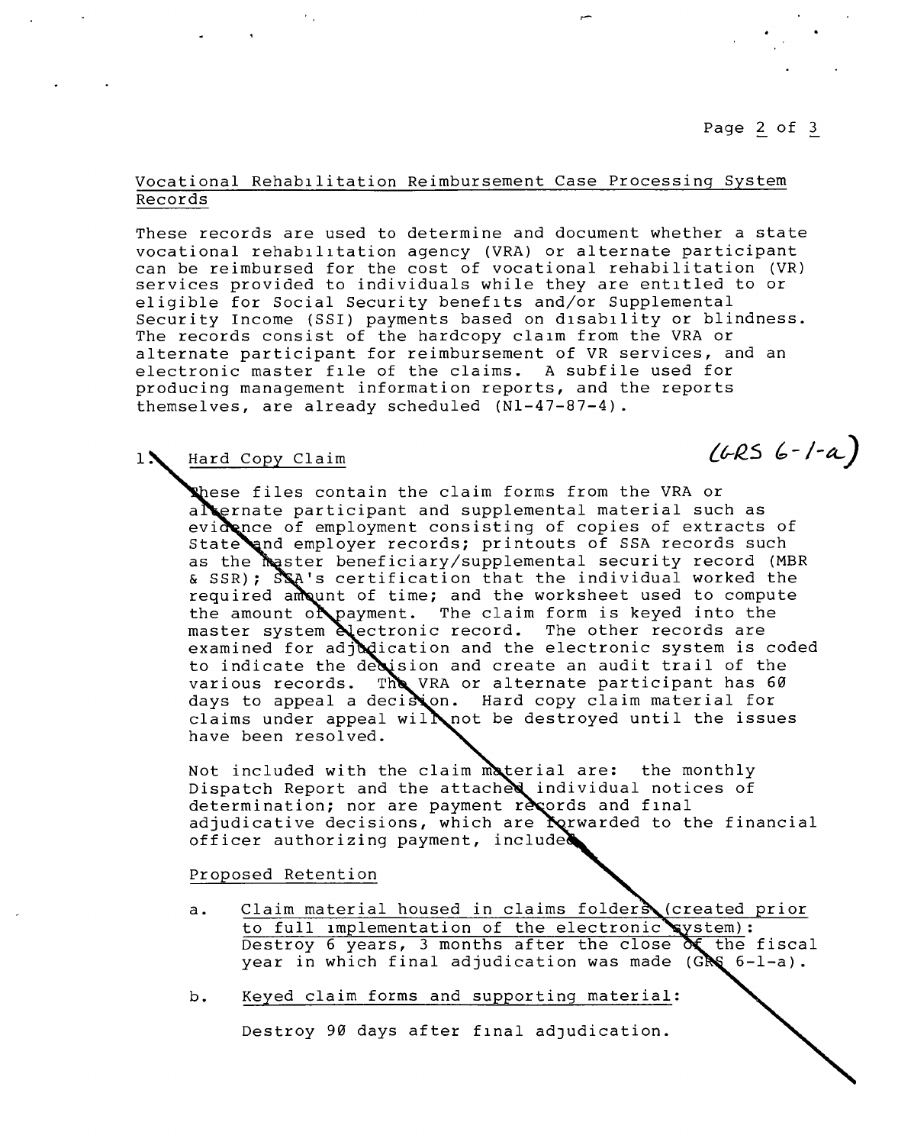# Page 2 of 3

 $(LRS 6-1-a)$ 

## vocational RehabIlitation Reimbursement Case Processing System Records

These records are used to determine and document whether a state vocational rehabilitation agency (VRA) or alternate participan can be reimbursed for the cost of vocational rehabilitation (VR) services provided to individuals while they are entitled to or eligible for Social Security benefIts and/or Supplemental Security Income (SSI) payments based on disability or blindness. The records consist of the hardcopy claim from the VRA or alternate participant for reimbursement of VR services, and an electronic master fIle of the claims. A subfile used for producing management information reports, and the reports themselves, are already scheduled (NI-47-87-4).

#### $1<sup>2</sup>$ Hard Copy Claim

these files contain the claim forms from the VRA or alernate participant and supplemental material such as evidence of employment consisting of copies of extracts of State and employer records; printouts of SSA records such as the master beneficiary/supplemental security record (MBR & SSR); SQA's certification that the individual worked the required amount of time; and the worksheet used to compute the amount  $\alpha$  payment. The claim form is keyed into the master system electronic record. The other records are examined for adjodication and the electronic system is coded to indicate the dedision and create an audit trail of the various records. The VRA or alternate participant has 60 days to appeal a decision. Hard copy claim material for claims under appeal wil not be destroyed until the issues have been resolved.

Not included with the claim material are: the monthly Dispatch Report and the attached individual notices of determination; nor are payment records and final adjudicative decisions, which are rewarded to the financial officer authorizing payment, include

### Proposed Retention

- a. Claim material housed in claims folders (created prior to full implementation of the electronic system): Destroy 6 years, 3 months after the close  $\mathbf{\hat{x}}$  the fiscal year in which final adjudication was made  $(G_8 \setminus G_1 - a)$ .
- b. Keyed claim forms and supporting material:

Destroy 90 days after fInal adJudication.